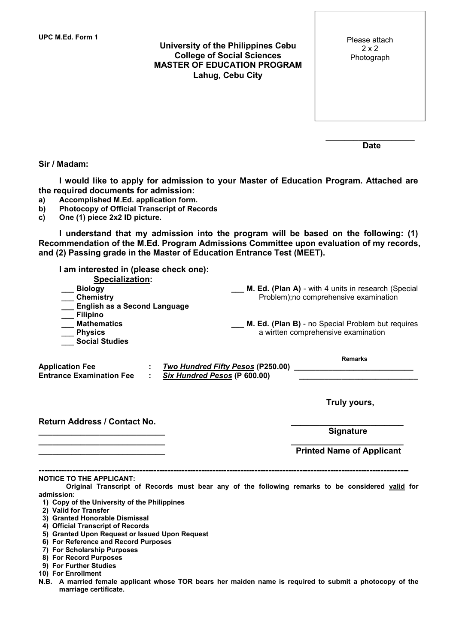**University of the Philippines Cebu College of Social Sciences MASTER OF EDUCATION PROGRAM Lahug, Cebu City**

| Please attach |  |
|---------------|--|
| 2x2           |  |
| Photograph    |  |

**Date**

**\_\_\_\_\_\_\_\_\_\_\_\_\_\_\_\_\_\_\_**

## **Sir / Madam:**

**I would like to apply for admission to your Master of Education Program. Attached are the required documents for admission:**

- **a) Accomplished M.Ed. application form.**
- **b) Photocopy of Official Transcript of Records**
- **c) One (1) piece 2x2 ID picture.**

**I understand that my admission into the program will be based on the following: (1) Recommendation of the M.Ed. Program Admissions Committee upon evaluation of my records, and (2) Passing grade in the Master of Education Entrance Test (MEET).**

| I am interested in (please check one):                                                                                                                                                                                                                                                                                                                                                                                                                                                               |                                                                                                                                                                                                        |  |  |  |
|------------------------------------------------------------------------------------------------------------------------------------------------------------------------------------------------------------------------------------------------------------------------------------------------------------------------------------------------------------------------------------------------------------------------------------------------------------------------------------------------------|--------------------------------------------------------------------------------------------------------------------------------------------------------------------------------------------------------|--|--|--|
| Specialization:<br><b>Biology</b><br><b>Chemistry</b><br><b>English as a Second Language</b>                                                                                                                                                                                                                                                                                                                                                                                                         | <b>M. Ed. (Plan A)</b> - with 4 units in research (Special<br>Problem);no comprehensive examination<br><b>M. Ed. (Plan B)</b> - no Special Problem but requires<br>a wirtten comprehensive examination |  |  |  |
| Filipino<br><b>Mathematics</b><br><b>Physics</b><br><b>Social Studies</b>                                                                                                                                                                                                                                                                                                                                                                                                                            |                                                                                                                                                                                                        |  |  |  |
| <b>Application Fee</b><br><b>Entrance Examination Fee</b><br>Six Hundred Pesos (P 600.00)                                                                                                                                                                                                                                                                                                                                                                                                            | <b>Remarks</b>                                                                                                                                                                                         |  |  |  |
|                                                                                                                                                                                                                                                                                                                                                                                                                                                                                                      | Truly yours,                                                                                                                                                                                           |  |  |  |
| Return Address / Contact No.                                                                                                                                                                                                                                                                                                                                                                                                                                                                         | <b>Signature</b>                                                                                                                                                                                       |  |  |  |
|                                                                                                                                                                                                                                                                                                                                                                                                                                                                                                      | <b>Printed Name of Applicant</b>                                                                                                                                                                       |  |  |  |
| <b>NOTICE TO THE APPLICANT:</b><br>Original Transcript of Records must bear any of the following remarks to be considered valid for<br>admission:<br>1) Copy of the University of the Philippines<br>2) Valid for Transfer<br>3) Granted Honorable Dismissal<br>4) Official Transcript of Records<br>5) Granted Upon Request or Issued Upon Request<br>6) For Reference and Record Purposes<br>7) For Scholarship Purposes<br>8) For Record Purposes<br>9) For Further Studies<br>10) For Enrollment |                                                                                                                                                                                                        |  |  |  |
|                                                                                                                                                                                                                                                                                                                                                                                                                                                                                                      |                                                                                                                                                                                                        |  |  |  |
| uale annlicent whose TOD heave has metalen non                                                                                                                                                                                                                                                                                                                                                                                                                                                       | ia ta waanitwaal da aiibinto a whad                                                                                                                                                                    |  |  |  |

N.B. A married female applicant whose TOR bears her maiden name is required to submit a photocopy of the **marriage certificate.**